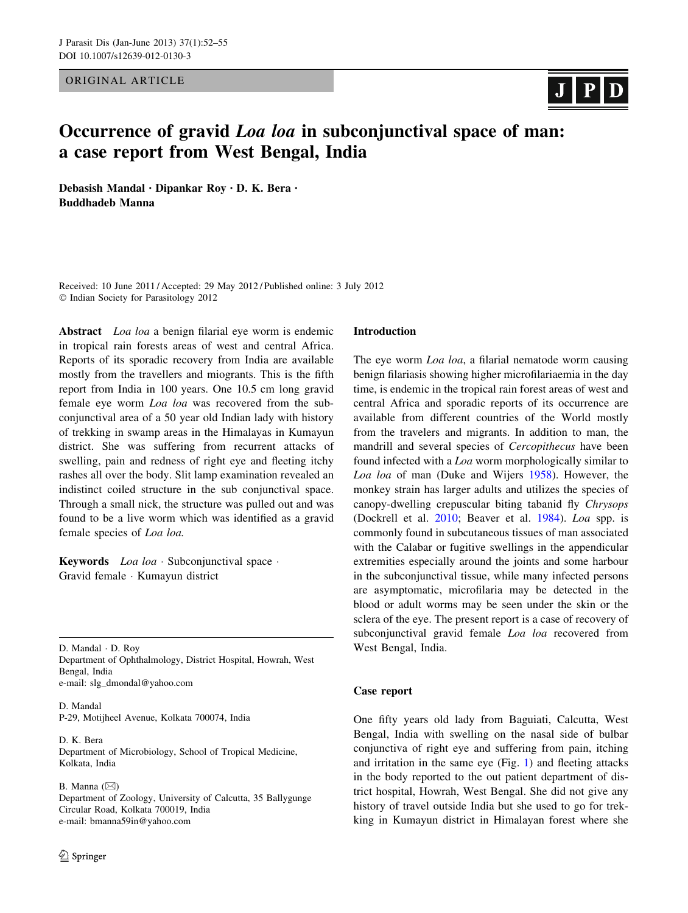ORIGINAL ARTICLE

# $J$  |  $P$ |  $D$

# Occurrence of gravid *Loa loa* in subconjunctival space of man: a case report from West Bengal, India

Debasish Mandal • Dipankar Roy • D. K. Bera • Buddhadeb Manna

Received: 10 June 2011 / Accepted: 29 May 2012 / Published online: 3 July 2012 - Indian Society for Parasitology 2012

Abstract *Loa loa* a benign filarial eye worm is endemic in tropical rain forests areas of west and central Africa. Reports of its sporadic recovery from India are available mostly from the travellers and miogrants. This is the fifth report from India in 100 years. One 10.5 cm long gravid female eye worm Loa loa was recovered from the subconjunctival area of a 50 year old Indian lady with history of trekking in swamp areas in the Himalayas in Kumayun district. She was suffering from recurrent attacks of swelling, pain and redness of right eye and fleeting itchy rashes all over the body. Slit lamp examination revealed an indistinct coiled structure in the sub conjunctival space. Through a small nick, the structure was pulled out and was found to be a live worm which was identified as a gravid female species of Loa loa.

Keywords Loa loa · Subconjunctival space · Gravid female - Kumayun district

D. Mandal - D. Roy Department of Ophthalmology, District Hospital, Howrah, West Bengal, India e-mail: slg\_dmondal@yahoo.com

D. Mandal P-29, Motijheel Avenue, Kolkata 700074, India

D. K. Bera Department of Microbiology, School of Tropical Medicine, Kolkata, India

B. Manna  $(\boxtimes)$ Department of Zoology, University of Calcutta, 35 Ballygunge Circular Road, Kolkata 700019, India e-mail: bmanna59in@yahoo.com

## Introduction

The eye worm *Loa loa*, a filarial nematode worm causing benign filariasis showing higher microfilariaemia in the day time, is endemic in the tropical rain forest areas of west and central Africa and sporadic reports of its occurrence are available from different countries of the World mostly from the travelers and migrants. In addition to man, the mandrill and several species of Cercopithecus have been found infected with a Loa worm morphologically similar to Loa loa of man (Duke and Wijers [1958\)](#page-2-0). However, the monkey strain has larger adults and utilizes the species of canopy-dwelling crepuscular biting tabanid fly Chrysops (Dockrell et al. [2010;](#page-2-0) Beaver et al. [1984\)](#page-2-0). Loa spp. is commonly found in subcutaneous tissues of man associated with the Calabar or fugitive swellings in the appendicular extremities especially around the joints and some harbour in the subconjunctival tissue, while many infected persons are asymptomatic, microfilaria may be detected in the blood or adult worms may be seen under the skin or the sclera of the eye. The present report is a case of recovery of subconjunctival gravid female *Loa loa* recovered from West Bengal, India.

### Case report

One fifty years old lady from Baguiati, Calcutta, West Bengal, India with swelling on the nasal side of bulbar conjunctiva of right eye and suffering from pain, itching and irritation in the same eye (Fig. [1](#page-1-0)) and fleeting attacks in the body reported to the out patient department of district hospital, Howrah, West Bengal. She did not give any history of travel outside India but she used to go for trekking in Kumayun district in Himalayan forest where she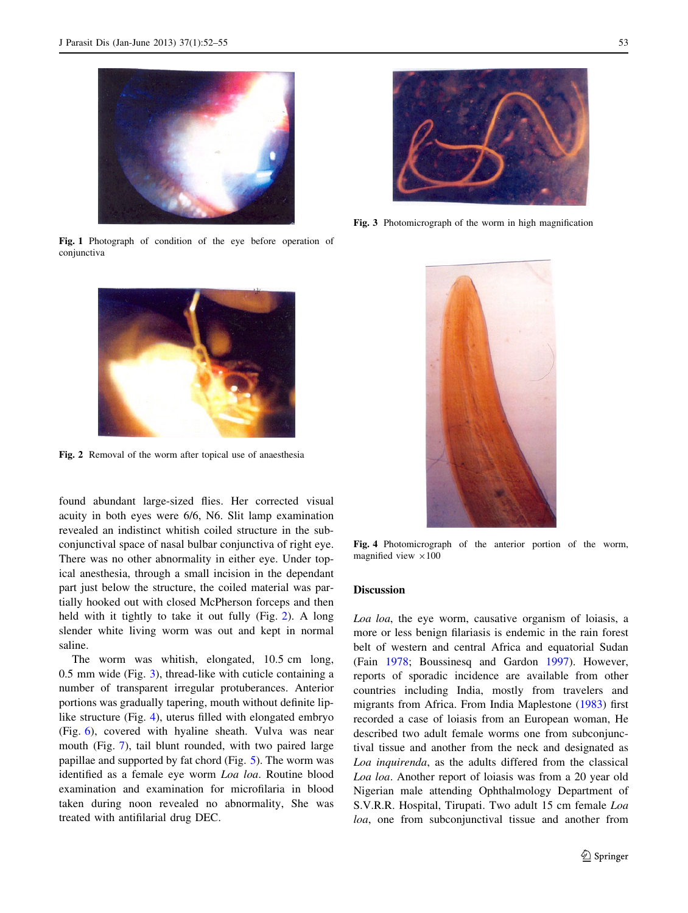<span id="page-1-0"></span>

Fig. 1 Photograph of condition of the eye before operation of conjunctiva



Fig. 2 Removal of the worm after topical use of anaesthesia

found abundant large-sized flies. Her corrected visual acuity in both eyes were 6/6, N6. Slit lamp examination revealed an indistinct whitish coiled structure in the subconjunctival space of nasal bulbar conjunctiva of right eye. There was no other abnormality in either eye. Under topical anesthesia, through a small incision in the dependant part just below the structure, the coiled material was partially hooked out with closed McPherson forceps and then held with it tightly to take it out fully (Fig. 2). A long slender white living worm was out and kept in normal saline.

The worm was whitish, elongated, 10.5 cm long, 0.5 mm wide (Fig. 3), thread-like with cuticle containing a number of transparent irregular protuberances. Anterior portions was gradually tapering, mouth without definite liplike structure (Fig. 4), uterus filled with elongated embryo (Fig. [6](#page-2-0)), covered with hyaline sheath. Vulva was near mouth (Fig. [7](#page-2-0)), tail blunt rounded, with two paired large papillae and supported by fat chord (Fig. [5\)](#page-2-0). The worm was identified as a female eye worm Loa loa. Routine blood examination and examination for microfilaria in blood taken during noon revealed no abnormality, She was treated with antifilarial drug DEC.



Fig. 3 Photomicrograph of the worm in high magnification



Fig. 4 Photomicrograph of the anterior portion of the worm, magnified view  $\times 100$ 

#### Discussion

Loa loa, the eye worm, causative organism of loiasis, a more or less benign filariasis is endemic in the rain forest belt of western and central Africa and equatorial Sudan (Fain [1978;](#page-2-0) Boussinesq and Gardon [1997\)](#page-2-0). However, reports of sporadic incidence are available from other countries including India, mostly from travelers and migrants from Africa. From India Maplestone ([1983\)](#page-3-0) first recorded a case of loiasis from an European woman, He described two adult female worms one from subconjunctival tissue and another from the neck and designated as Loa inquirenda, as the adults differed from the classical Loa loa. Another report of loiasis was from a 20 year old Nigerian male attending Ophthalmology Department of S.V.R.R. Hospital, Tirupati. Two adult 15 cm female Loa loa, one from subconjunctival tissue and another from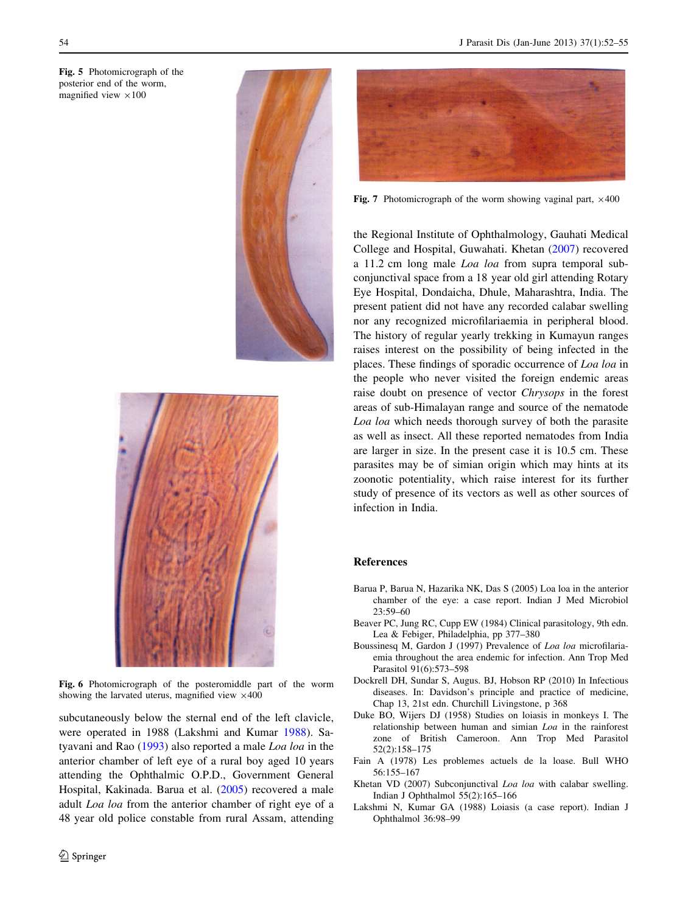<span id="page-2-0"></span>Fig. 5 Photomicrograph of the posterior end of the worm, magnified view  $\times 100$ 





Fig. 6 Photomicrograph of the posteromiddle part of the worm showing the larvated uterus, magnified view  $\times 400$ 

subcutaneously below the sternal end of the left clavicle, were operated in 1988 (Lakshmi and Kumar 1988). Satyavani and Rao ([1993](#page-3-0)) also reported a male Loa loa in the anterior chamber of left eye of a rural boy aged 10 years attending the Ophthalmic O.P.D., Government General Hospital, Kakinada. Barua et al. (2005) recovered a male adult Loa loa from the anterior chamber of right eye of a 48 year old police constable from rural Assam, attending



Fig. 7 Photomicrograph of the worm showing vaginal part,  $\times$ 400

the Regional Institute of Ophthalmology, Gauhati Medical College and Hospital, Guwahati. Khetan (2007) recovered a 11.2 cm long male Loa loa from supra temporal subconjunctival space from a 18 year old girl attending Rotary Eye Hospital, Dondaicha, Dhule, Maharashtra, India. The present patient did not have any recorded calabar swelling nor any recognized microfilariaemia in peripheral blood. The history of regular yearly trekking in Kumayun ranges raises interest on the possibility of being infected in the places. These findings of sporadic occurrence of Loa loa in the people who never visited the foreign endemic areas raise doubt on presence of vector Chrysops in the forest areas of sub-Himalayan range and source of the nematode Loa loa which needs thorough survey of both the parasite as well as insect. All these reported nematodes from India are larger in size. In the present case it is 10.5 cm. These parasites may be of simian origin which may hints at its zoonotic potentiality, which raise interest for its further study of presence of its vectors as well as other sources of infection in India.

#### References

- Barua P, Barua N, Hazarika NK, Das S (2005) Loa loa in the anterior chamber of the eye: a case report. Indian J Med Microbiol 23:59–60
- Beaver PC, Jung RC, Cupp EW (1984) Clinical parasitology, 9th edn. Lea & Febiger, Philadelphia, pp 377–380
- Boussinesq M, Gardon J (1997) Prevalence of Loa loa microfilariaemia throughout the area endemic for infection. Ann Trop Med Parasitol 91(6):573–598
- Dockrell DH, Sundar S, Augus. BJ, Hobson RP (2010) In Infectious diseases. In: Davidson's principle and practice of medicine, Chap 13, 21st edn. Churchill Livingstone, p 368
- Duke BO, Wijers DJ (1958) Studies on loiasis in monkeys I. The relationship between human and simian Loa in the rainforest zone of British Cameroon. Ann Trop Med Parasitol 52(2):158–175
- Fain A (1978) Les problemes actuels de la loase. Bull WHO 56:155–167
- Khetan VD (2007) Subconjunctival Loa loa with calabar swelling. Indian J Ophthalmol 55(2):165–166
- Lakshmi N, Kumar GA (1988) Loiasis (a case report). Indian J Ophthalmol 36:98–99